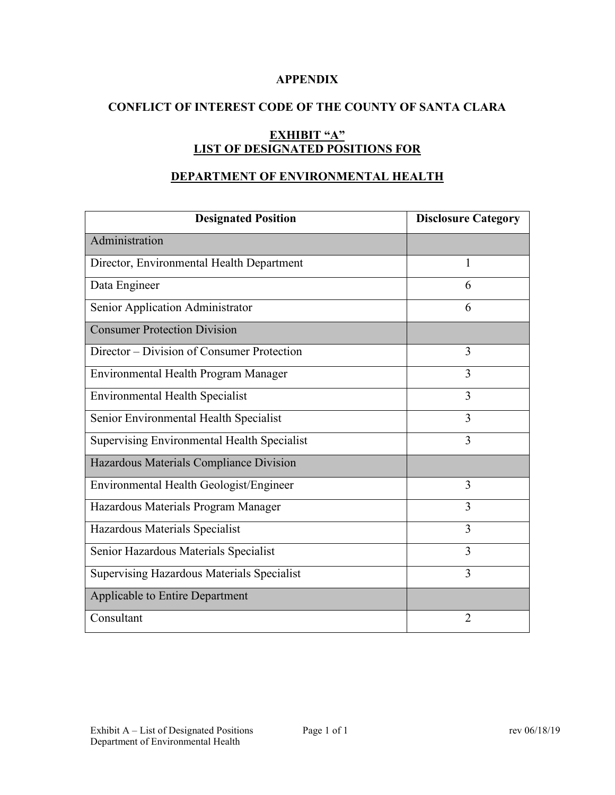# **APPENDIX**

# **CONFLICT OF INTEREST CODE OF THE COUNTY OF SANTA CLARA**

# **EXHIBIT "A" LIST OF DESIGNATED POSITIONS FOR**

## **DEPARTMENT OF ENVIRONMENTAL HEALTH**

| <b>Designated Position</b>                         | <b>Disclosure Category</b> |
|----------------------------------------------------|----------------------------|
| Administration                                     |                            |
| Director, Environmental Health Department          | 1                          |
| Data Engineer                                      | 6                          |
| Senior Application Administrator                   | 6                          |
| <b>Consumer Protection Division</b>                |                            |
| Director – Division of Consumer Protection         | 3                          |
| Environmental Health Program Manager               | 3                          |
| <b>Environmental Health Specialist</b>             | $\overline{3}$             |
| Senior Environmental Health Specialist             | 3                          |
| <b>Supervising Environmental Health Specialist</b> | 3                          |
| Hazardous Materials Compliance Division            |                            |
| Environmental Health Geologist/Engineer            | 3                          |
| Hazardous Materials Program Manager                | 3                          |
| Hazardous Materials Specialist                     | 3                          |
| Senior Hazardous Materials Specialist              | 3                          |
| Supervising Hazardous Materials Specialist         | 3                          |
| Applicable to Entire Department                    |                            |
| Consultant                                         | $\overline{2}$             |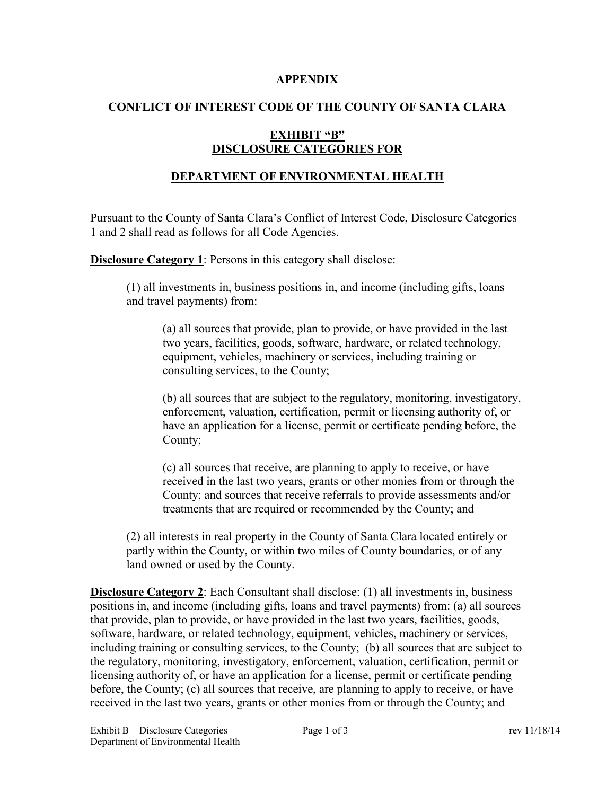#### **APPENDIX**

# **CONFLICT OF INTEREST CODE OF THE COUNTY OF SANTA CLARA**

# **EXHIBIT "B" DISCLOSURE CATEGORIES FOR**

# **DEPARTMENT OF ENVIRONMENTAL HEALTH**

Pursuant to the County of Santa Clara's Conflict of Interest Code, Disclosure Categories 1 and 2 shall read as follows for all Code Agencies.

**Disclosure Category 1:** Persons in this category shall disclose:

(1) all investments in, business positions in, and income (including gifts, loans and travel payments) from:

(a) all sources that provide, plan to provide, or have provided in the last two years, facilities, goods, software, hardware, or related technology, equipment, vehicles, machinery or services, including training or consulting services, to the County;

(b) all sources that are subject to the regulatory, monitoring, investigatory, enforcement, valuation, certification, permit or licensing authority of, or have an application for a license, permit or certificate pending before, the County;

(c) all sources that receive, are planning to apply to receive, or have received in the last two years, grants or other monies from or through the County; and sources that receive referrals to provide assessments and/or treatments that are required or recommended by the County; and

(2) all interests in real property in the County of Santa Clara located entirely or partly within the County, or within two miles of County boundaries, or of any land owned or used by the County.

**Disclosure Category 2**: Each Consultant shall disclose: (1) all investments in, business positions in, and income (including gifts, loans and travel payments) from: (a) all sources that provide, plan to provide, or have provided in the last two years, facilities, goods, software, hardware, or related technology, equipment, vehicles, machinery or services, including training or consulting services, to the County; (b) all sources that are subject to the regulatory, monitoring, investigatory, enforcement, valuation, certification, permit or licensing authority of, or have an application for a license, permit or certificate pending before, the County; (c) all sources that receive, are planning to apply to receive, or have received in the last two years, grants or other monies from or through the County; and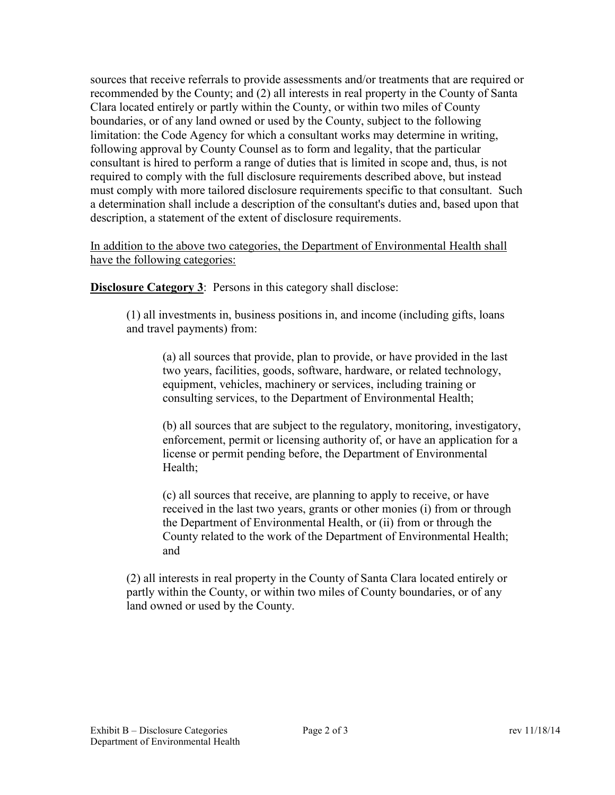sources that receive referrals to provide assessments and/or treatments that are required or recommended by the County; and (2) all interests in real property in the County of Santa Clara located entirely or partly within the County, or within two miles of County boundaries, or of any land owned or used by the County, subject to the following limitation: the Code Agency for which a consultant works may determine in writing, following approval by County Counsel as to form and legality, that the particular consultant is hired to perform a range of duties that is limited in scope and, thus, is not required to comply with the full disclosure requirements described above, but instead must comply with more tailored disclosure requirements specific to that consultant. Such a determination shall include a description of the consultant's duties and, based upon that description, a statement of the extent of disclosure requirements.

In addition to the above two categories, the Department of Environmental Health shall have the following categories:

**Disclosure Category 3:** Persons in this category shall disclose:

(1) all investments in, business positions in, and income (including gifts, loans and travel payments) from:

(a) all sources that provide, plan to provide, or have provided in the last two years, facilities, goods, software, hardware, or related technology, equipment, vehicles, machinery or services, including training or consulting services, to the Department of Environmental Health;

(b) all sources that are subject to the regulatory, monitoring, investigatory, enforcement, permit or licensing authority of, or have an application for a license or permit pending before, the Department of Environmental Health;

(c) all sources that receive, are planning to apply to receive, or have received in the last two years, grants or other monies (i) from or through the Department of Environmental Health, or (ii) from or through the County related to the work of the Department of Environmental Health; and

(2) all interests in real property in the County of Santa Clara located entirely or partly within the County, or within two miles of County boundaries, or of any land owned or used by the County.